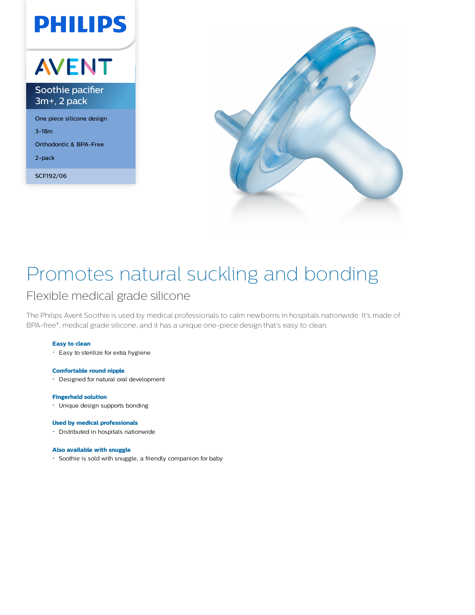# **PHILIPS**

## **AVENT**

Soothie pacifier 3m+, 2 pack

One piece silicone design 3-18m Orthodontic & BPA-Free 2-pack

SCF192/06



### Promotes natural suckling and bonding

### Flexible medical grade silicone

The Philips Avent Soothie is used by medical professionals to calm newborns in hospitals nationwide. It's made of BPA-free\*, medical grade silicone, and it has a unique one-piece design that's easy to clean.

#### **Easy to clean**

Easy to sterilize for extra hygiene

#### **Comfortable round nipple**

Designed for natural oral development

#### **Fingerheld solution**

Unique design supports bonding

#### **Used by medical professionals**

Distributed in hospitals nationwide

#### **Also available with snuggle**

Soothie is sold with snuggle, a friendly companion for baby